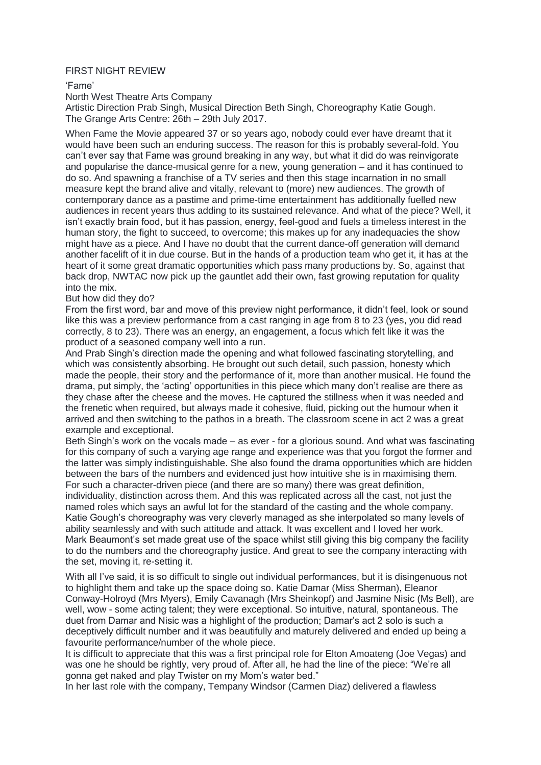## FIRST NIGHT REVIEW

'Fame'

North West Theatre Arts Company

Artistic Direction Prab Singh, Musical Direction Beth Singh, Choreography Katie Gough. The Grange Arts Centre: 26th – 29th July 2017.

When Fame the Movie appeared 37 or so years ago, nobody could ever have dreamt that it would have been such an enduring success. The reason for this is probably several-fold. You can't ever say that Fame was ground breaking in any way, but what it did do was reinvigorate and popularise the dance-musical genre for a new, young generation – and it has continued to do so. And spawning a franchise of a TV series and then this stage incarnation in no small measure kept the brand alive and vitally, relevant to (more) new audiences. The growth of contemporary dance as a pastime and prime-time entertainment has additionally fuelled new audiences in recent years thus adding to its sustained relevance. And what of the piece? Well, it isn't exactly brain food, but it has passion, energy, feel-good and fuels a timeless interest in the human story, the fight to succeed, to overcome; this makes up for any inadequacies the show might have as a piece. And I have no doubt that the current dance-off generation will demand another facelift of it in due course. But in the hands of a production team who get it, it has at the heart of it some great dramatic opportunities which pass many productions by. So, against that back drop, NWTAC now pick up the gauntlet add their own, fast growing reputation for quality into the mix.

But how did they do?

From the first word, bar and move of this preview night performance, it didn't feel, look or sound like this was a preview performance from a cast ranging in age from 8 to 23 (yes, you did read correctly, 8 to 23). There was an energy, an engagement, a focus which felt like it was the product of a seasoned company well into a run.

And Prab Singh's direction made the opening and what followed fascinating storytelling, and which was consistently absorbing. He brought out such detail, such passion, honesty which made the people, their story and the performance of it, more than another musical. He found the drama, put simply, the 'acting' opportunities in this piece which many don't realise are there as they chase after the cheese and the moves. He captured the stillness when it was needed and the frenetic when required, but always made it cohesive, fluid, picking out the humour when it arrived and then switching to the pathos in a breath. The classroom scene in act 2 was a great example and exceptional.

Beth Singh's work on the vocals made – as ever - for a glorious sound. And what was fascinating for this company of such a varying age range and experience was that you forgot the former and the latter was simply indistinguishable. She also found the drama opportunities which are hidden between the bars of the numbers and evidenced just how intuitive she is in maximising them. For such a character-driven piece (and there are so many) there was great definition, individuality, distinction across them. And this was replicated across all the cast, not just the named roles which says an awful lot for the standard of the casting and the whole company. Katie Gough's choreography was very cleverly managed as she interpolated so many levels of ability seamlessly and with such attitude and attack. It was excellent and I loved her work. Mark Beaumont's set made great use of the space whilst still giving this big company the facility to do the numbers and the choreography justice. And great to see the company interacting with the set, moving it, re-setting it.

With all I've said, it is so difficult to single out individual performances, but it is disingenuous not to highlight them and take up the space doing so. Katie Damar (Miss Sherman), Eleanor Conway-Holroyd (Mrs Myers), Emily Cavanagh (Mrs Sheinkopf) and Jasmine Nisic (Ms Bell), are well, wow - some acting talent; they were exceptional. So intuitive, natural, spontaneous. The duet from Damar and Nisic was a highlight of the production; Damar's act 2 solo is such a deceptively difficult number and it was beautifully and maturely delivered and ended up being a favourite performance/number of the whole piece.

It is difficult to appreciate that this was a first principal role for Elton Amoateng (Joe Vegas) and was one he should be rightly, very proud of. After all, he had the line of the piece: "We're all gonna get naked and play Twister on my Mom's water bed."

In her last role with the company, Tempany Windsor (Carmen Diaz) delivered a flawless